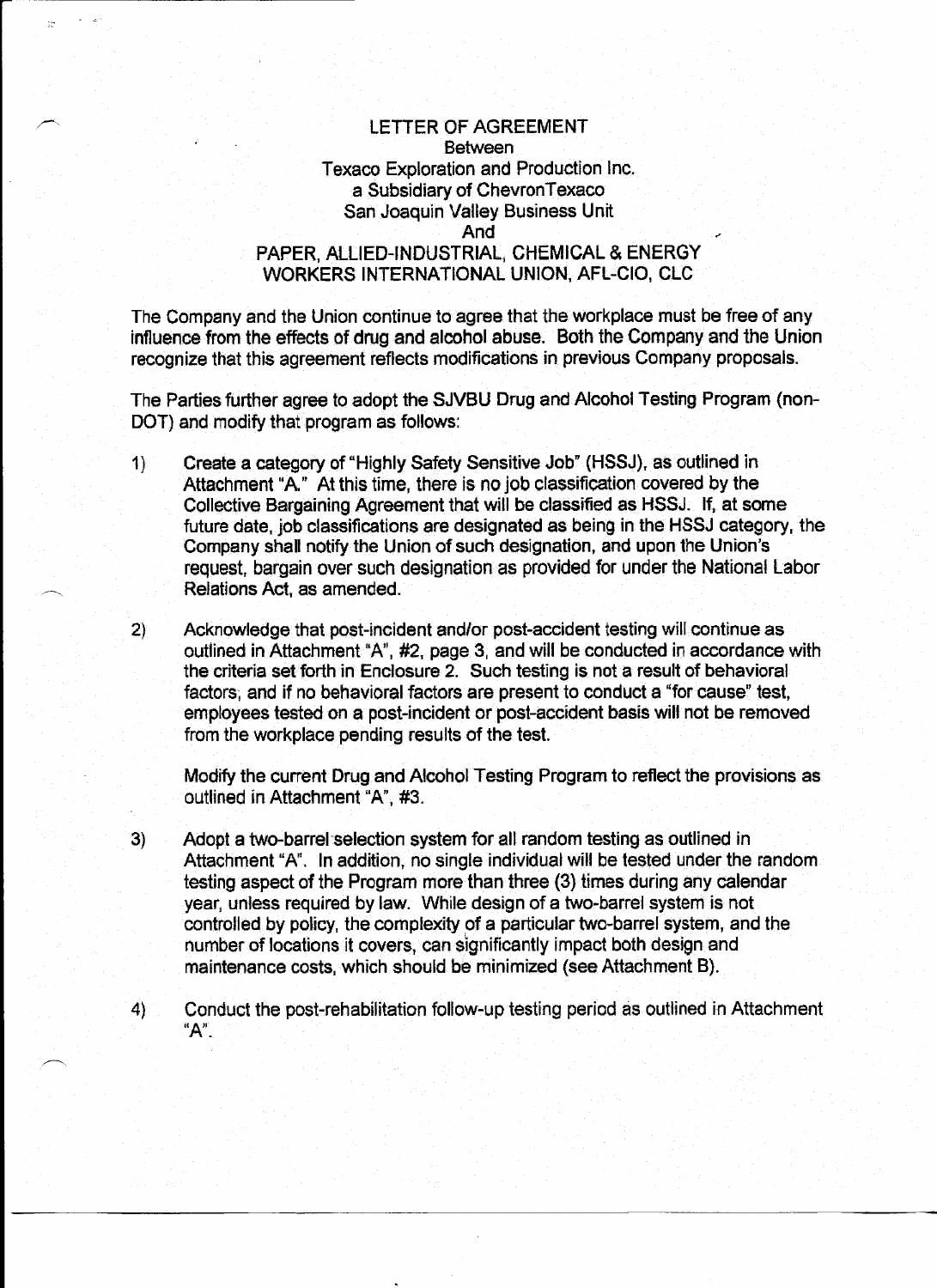## LETTER OF AGREEMENT Between Texaco Exploration and Production Inc. a Subsidiary of Chevron Texaco San Joaquin Valley Business Unit And PAPER, AlliED-INDUSTRIAl; CHEMICAL & ENERGY WORKERS INTERNATIONAL UNION, AFL-CIO, CLC

The Company and the Union continue to agree that the workplace must be free of any influence from the effects of drug and alcohol abuse. Both the Company and the Union recognize that this agreement reflects modifications in previous Company proposals.

The Parties further agree to adopt the SJVBU Drug and Alcohol Testing Program (non-DOT) and modify that program as follows:

- 1) Create a category of "Highly Safety Sensitive Job" {HSSJ), as outlined in Attachment "A." At this time, there is no job classification covered by the Collective Bargaining Agreement that will be classified as HSSJ. If, at some future date, job classifications are designated as being in the HSSJ category, the Company shall notify the Union of such designation, and upon the Union's request, bargain over such designation as provided for under the National Labor Relations Act, as amended.
- 2) Acknowledge that post-incident and/or post-accident testing will continue as outlined in Attachment "A", #2, page 3, and will be conducted in accordance with the criteria set forth in Enclosure 2. Such testing is not a result of behavioral factors, and if no behavioral factors are present to conduct a "for cause" test, employees tested on a post-incident or post-accident basis will not be removed from the workplace pending results of the test.

Modify the current Drug and Alcohol Testing Program to reflect the provisions as outlined in Attachment "A", #3.

- 3) Adopt a two-barrel selection system for all random testing as outlined in Attachment "A". In addition, no single individual will be tested under the random testing aspect of the Program more than three (3) times during any calendar year, unless required by law. While design of a two-barrel system is not controlled by policy, the complexity of a particular two-barrel system, and the number of locations it covers, can significantly impact both design and maintenance costs, which should be minimized {see Attachment B).
- 4) Conduct the post-rehabilitation follow-up testing period as outlined in Attachment  $"A"$  .